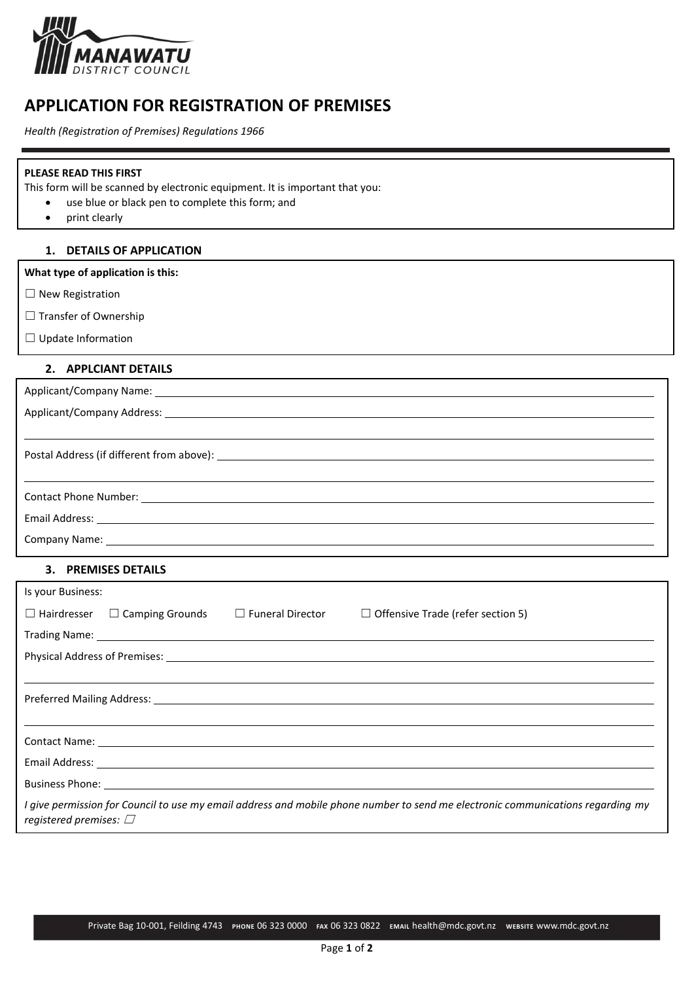

# **APPLICATION FOR REGISTRATION OF PREMISES**

*Health (Registration of Premises) Regulations 1966*

#### **PLEASE READ THIS FIRST**

This form will be scanned by electronic equipment. It is important that you:

- use blue or black pen to complete this form; and
	- print clearly

## **1. DETAILS OF APPLICATION**

**What type of application is this:**

- ☐ New Registration
- □ Transfer of Ownership
- ☐ Update Information

## **2. APPLCIANT DETAILS**

| Applicant/Company Name: 1997 Manual Company Name: 1997 Manual Company Name: 1998 Manual Company Name: 1998 Manual Company Name: 1998 Manual Company Name: 1998 Manual Company Name: 1998 Manual Company Name: 1998 Manual Comp |
|--------------------------------------------------------------------------------------------------------------------------------------------------------------------------------------------------------------------------------|
|                                                                                                                                                                                                                                |
|                                                                                                                                                                                                                                |
|                                                                                                                                                                                                                                |
|                                                                                                                                                                                                                                |
|                                                                                                                                                                                                                                |
|                                                                                                                                                                                                                                |
|                                                                                                                                                                                                                                |
|                                                                                                                                                                                                                                |

## **3. PREMISES DETAILS**

| Is your Business:                                                                                             |  |  |                                                                                                                                                                                                                                      |  |  |  |  |
|---------------------------------------------------------------------------------------------------------------|--|--|--------------------------------------------------------------------------------------------------------------------------------------------------------------------------------------------------------------------------------------|--|--|--|--|
|                                                                                                               |  |  | □ Hairdresser □ Camping Grounds □ Funeral Director □ Offensive Trade (refer section 5)                                                                                                                                               |  |  |  |  |
|                                                                                                               |  |  | Trading Name: 1999 Contract to the contract of the contract of the contract of the contract of the contract of the contract of the contract of the contract of the contract of the contract of the contract of the contract of       |  |  |  |  |
| Physical Address of Premises: 2008 2014 2022 2023 2024 2022 2023 2024 2022 2023 2024 2022 2023 2024 2022 2023 |  |  |                                                                                                                                                                                                                                      |  |  |  |  |
|                                                                                                               |  |  |                                                                                                                                                                                                                                      |  |  |  |  |
|                                                                                                               |  |  |                                                                                                                                                                                                                                      |  |  |  |  |
|                                                                                                               |  |  |                                                                                                                                                                                                                                      |  |  |  |  |
|                                                                                                               |  |  |                                                                                                                                                                                                                                      |  |  |  |  |
|                                                                                                               |  |  | Email Address: <u>example and the contract of the contract of the contract of the contract of the contract of the contract of the contract of the contract of the contract of the contract of the contract of the contract of th</u> |  |  |  |  |
|                                                                                                               |  |  |                                                                                                                                                                                                                                      |  |  |  |  |
| registered premises: $\Box$                                                                                   |  |  | I give permission for Council to use my email address and mobile phone number to send me electronic communications regarding my                                                                                                      |  |  |  |  |